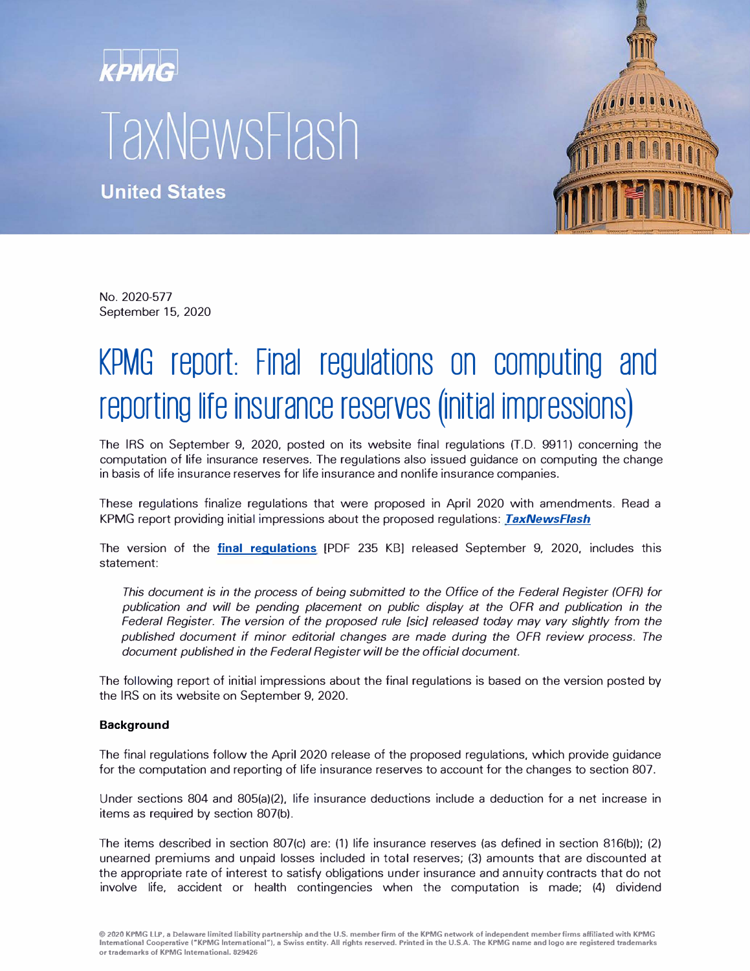# **TaxNewsFlash**

**United States** 



No. 2020-577 September 15, 2020

## KPMG report: Final regulations on computing and **reporting life insurance reserves (initial impressions)**

The IRS on September 9, 2020, posted on its website final regulations (T.D. 9911) concerning the computation of life insurance reserves. The regulations also issued guidance on computing the change in basis of life insurance reserves for life insurance and nonlife insurance companies.

These regulations finalize regulations that were proposed in April 2020 with amendments. Read a KPMG report providing initial impressions about the proposed regulations: *[TaxNewsF/ash](https://home.kpmg/us/en/home/insights/2020/04/tnf-kpmg-report-proposed-regulations-computing-reporting-life-insurance-reserves-insurance-companies.html)*

The version of the **[final regulations](https://www.irs.gov/pub/irs-drop/td-9911.pdf)** [PDF 235 KB) released September 9, 2020, includes this statement:

*This document is in the process of being submitted to the Office of the Federal Register (OFR) for*  publication and will be pending placement on public display at the OFR and publication in the *Federal Register. The version of the proposed rule {sic] released today may vary slightly from the published document if minor editorial changes are made during the OFR review process. The document published in the Federal Register will be the official document.* 

The following report of initial impressions about the final regulations is based on the version posted by the IRS on its website on September 9, 2020.

#### **Background**

The final regulations follow the April 2020 release of the proposed regulations, which provide guidance for the computation and reporting of life insurance reserves to account for the changes to section 807.

Under sections 804 and 805(a)(2), life insurance deductions include a deduction for a net increase in items as required by section 807(b).

The items described in section 807(c) are: (1) life insurance reserves (as defined in section 816(b)); (2) unearned premiums and unpaid losses included in total reserves; (3) amounts that are discounted at the appropriate rate of interest to satisfy obligations under insurance and annuity contracts that do not involve life, accident or health contingencies when the computation is made; (4) dividend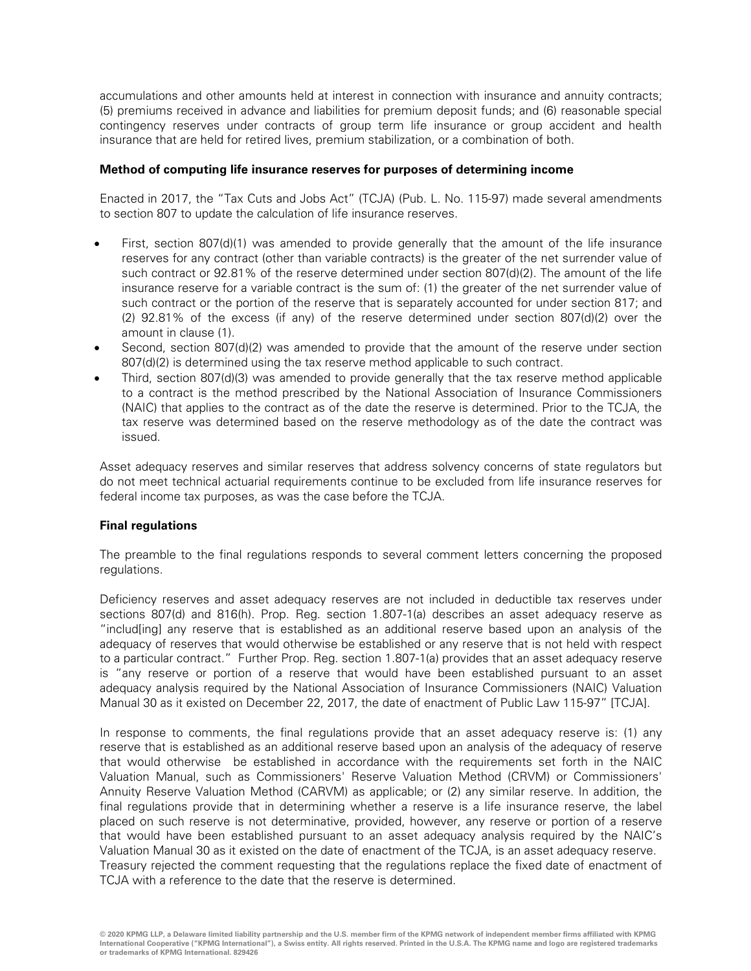accumulations and other amounts held at interest in connection with insurance and annuity contracts; (5) premiums received in advance and liabilities for premium deposit funds; and (6) reasonable special contingency reserves under contracts of group term life insurance or group accident and health insurance that are held for retired lives, premium stabilization, or a combination of both.

#### **Method of computing life insurance reserves for purposes of determining income**

Enacted in 2017, the "Tax Cuts and Jobs Act" (TCJA) (Pub. L. No. 115-97) made several amendments to section 807 to update the calculation of life insurance reserves.

- First, section 807(d)(1) was amended to provide generally that the amount of the life insurance reserves for any contract (other than variable contracts) is the greater of the net surrender value of such contract or 92.81% of the reserve determined under section 807(d)(2). The amount of the life insurance reserve for a variable contract is the sum of: (1) the greater of the net surrender value of such contract or the portion of the reserve that is separately accounted for under section 817; and (2) 92.81% of the excess (if any) of the reserve determined under section 807(d)(2) over the amount in clause (1).
- Second, section 807(d)(2) was amended to provide that the amount of the reserve under section 807(d)(2) is determined using the tax reserve method applicable to such contract.
- Third, section 807(d)(3) was amended to provide generally that the tax reserve method applicable to a contract is the method prescribed by the National Association of Insurance Commissioners (NAIC) that applies to the contract as of the date the reserve is determined. Prior to the TCJA, the tax reserve was determined based on the reserve methodology as of the date the contract was issued.

Asset adequacy reserves and similar reserves that address solvency concerns of state regulators but do not meet technical actuarial requirements continue to be excluded from life insurance reserves for federal income tax purposes, as was the case before the TCJA.

### **Final regulations**

The preamble to the final regulations responds to several comment letters concerning the proposed regulations.

Deficiency reserves and asset adequacy reserves are not included in deductible tax reserves under sections 807(d) and 816(h). Prop. Reg. section 1.807-1(a) describes an asset adequacy reserve as "includ[ing] any reserve that is established as an additional reserve based upon an analysis of the adequacy of reserves that would otherwise be established or any reserve that is not held with respect to a particular contract." Further Prop. Reg. section 1.807-1(a) provides that an asset adequacy reserve is "any reserve or portion of a reserve that would have been established pursuant to an asset adequacy analysis required by the National Association of Insurance Commissioners (NAIC) Valuation Manual 30 as it existed on December 22, 2017, the date of enactment of Public Law 115-97" [TCJA].

In response to comments, the final regulations provide that an asset adequacy reserve is: (1) any reserve that is established as an additional reserve based upon an analysis of the adequacy of reserve that would otherwise be established in accordance with the requirements set forth in the NAIC Valuation Manual, such as Commissioners' Reserve Valuation Method (CRVM) or Commissioners' Annuity Reserve Valuation Method (CARVM) as applicable; or (2) any similar reserve. In addition, the final regulations provide that in determining whether a reserve is a life insurance reserve, the label placed on such reserve is not determinative, provided, however, any reserve or portion of a reserve that would have been established pursuant to an asset adequacy analysis required by the NAIC's Valuation Manual 30 as it existed on the date of enactment of the TCJA, is an asset adequacy reserve. Treasury rejected the comment requesting that the regulations replace the fixed date of enactment of TCJA with a reference to the date that the reserve is determined.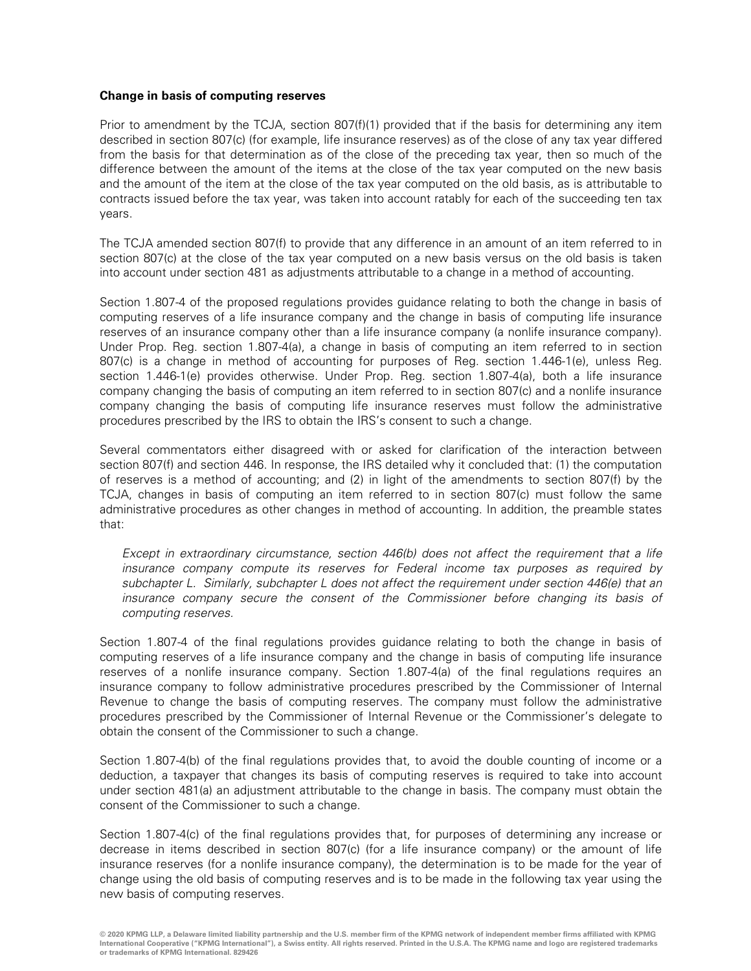#### **Change in basis of computing reserves**

Prior to amendment by the TCJA, section 807(f)(1) provided that if the basis for determining any item described in section 807(c) (for example, life insurance reserves) as of the close of any tax year differed from the basis for that determination as of the close of the preceding tax year, then so much of the difference between the amount of the items at the close of the tax year computed on the new basis and the amount of the item at the close of the tax year computed on the old basis, as is attributable to contracts issued before the tax year, was taken into account ratably for each of the succeeding ten tax years.

The TCJA amended section 807(f) to provide that any difference in an amount of an item referred to in section 807(c) at the close of the tax year computed on a new basis versus on the old basis is taken into account under section 481 as adjustments attributable to a change in a method of accounting.

Section 1.807-4 of the proposed regulations provides guidance relating to both the change in basis of computing reserves of a life insurance company and the change in basis of computing life insurance reserves of an insurance company other than a life insurance company (a nonlife insurance company). Under Prop. Reg. section 1.807-4(a), a change in basis of computing an item referred to in section 807(c) is a change in method of accounting for purposes of Reg. section 1.446-1(e), unless Reg. section 1.446-1(e) provides otherwise. Under Prop. Reg. section 1.807-4(a), both a life insurance company changing the basis of computing an item referred to in section 807(c) and a nonlife insurance company changing the basis of computing life insurance reserves must follow the administrative procedures prescribed by the IRS to obtain the IRS's consent to such a change.

Several commentators either disagreed with or asked for clarification of the interaction between section 807(f) and section 446. In response, the IRS detailed why it concluded that: (1) the computation of reserves is a method of accounting; and (2) in light of the amendments to section 807(f) by the TCJA, changes in basis of computing an item referred to in section 807(c) must follow the same administrative procedures as other changes in method of accounting. In addition, the preamble states that:

Except in extraordinary circumstance, section 446(b) does not affect the requirement that a life insurance company compute its reserves for Federal income tax purposes as required by subchapter L. Similarly, subchapter L does not affect the requirement under section 446(e) that an insurance company secure the consent of the Commissioner before changing its basis of computing reserves.

Section 1.807-4 of the final regulations provides guidance relating to both the change in basis of computing reserves of a life insurance company and the change in basis of computing life insurance reserves of a nonlife insurance company. Section 1.807-4(a) of the final regulations requires an insurance company to follow administrative procedures prescribed by the Commissioner of Internal Revenue to change the basis of computing reserves. The company must follow the administrative procedures prescribed by the Commissioner of Internal Revenue or the Commissioner's delegate to obtain the consent of the Commissioner to such a change.

Section 1.807-4(b) of the final regulations provides that, to avoid the double counting of income or a deduction, a taxpayer that changes its basis of computing reserves is required to take into account under section 481(a) an adjustment attributable to the change in basis. The company must obtain the consent of the Commissioner to such a change.

Section 1.807-4(c) of the final regulations provides that, for purposes of determining any increase or decrease in items described in section 807(c) (for a life insurance company) or the amount of life insurance reserves (for a nonlife insurance company), the determination is to be made for the year of change using the old basis of computing reserves and is to be made in the following tax year using the new basis of computing reserves.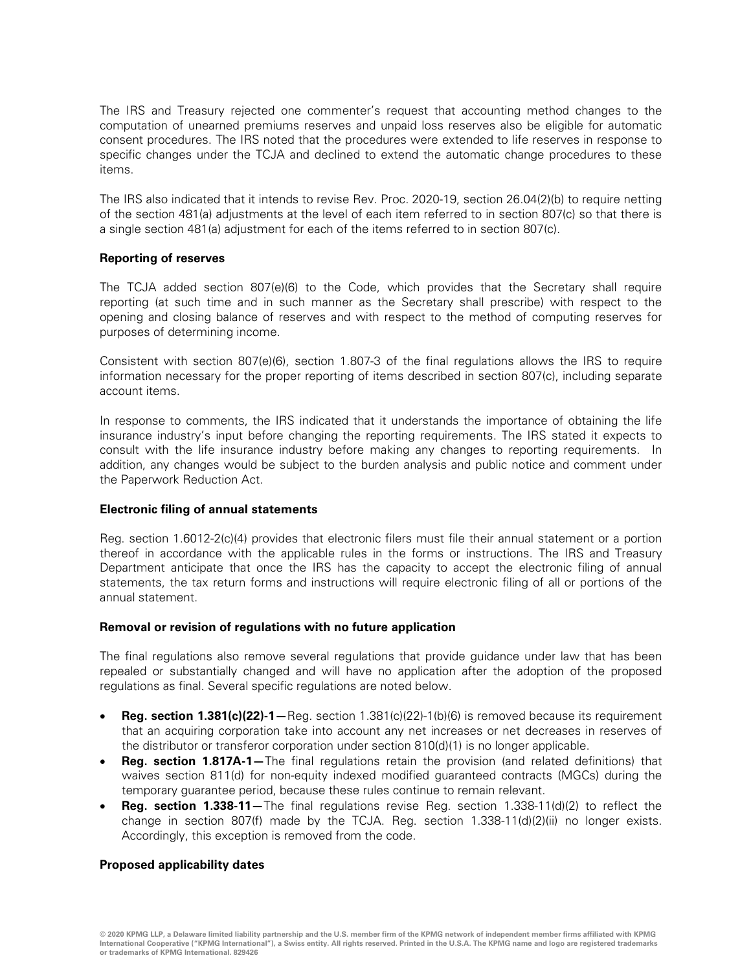The IRS and Treasury rejected one commenter's request that accounting method changes to the computation of unearned premiums reserves and unpaid loss reserves also be eligible for automatic consent procedures. The IRS noted that the procedures were extended to life reserves in response to specific changes under the TCJA and declined to extend the automatic change procedures to these items.

The IRS also indicated that it intends to revise Rev. Proc. 2020-19, section 26.04(2)(b) to require netting of the section 481(a) adjustments at the level of each item referred to in section 807(c) so that there is a single section 481(a) adjustment for each of the items referred to in section 807(c).

#### **Reporting of reserves**

The TCJA added section 807(e)(6) to the Code, which provides that the Secretary shall require reporting (at such time and in such manner as the Secretary shall prescribe) with respect to the opening and closing balance of reserves and with respect to the method of computing reserves for purposes of determining income.

Consistent with section 807(e)(6), section 1.807-3 of the final regulations allows the IRS to require information necessary for the proper reporting of items described in section 807(c), including separate account items.

In response to comments, the IRS indicated that it understands the importance of obtaining the life insurance industry's input before changing the reporting requirements. The IRS stated it expects to consult with the life insurance industry before making any changes to reporting requirements. In addition, any changes would be subject to the burden analysis and public notice and comment under the Paperwork Reduction Act.

#### **Electronic filing of annual statements**

Reg. section 1.6012-2(c)(4) provides that electronic filers must file their annual statement or a portion thereof in accordance with the applicable rules in the forms or instructions. The IRS and Treasury Department anticipate that once the IRS has the capacity to accept the electronic filing of annual statements, the tax return forms and instructions will require electronic filing of all or portions of the annual statement.

#### **Removal or revision of regulations with no future application**

The final regulations also remove several regulations that provide guidance under law that has been repealed or substantially changed and will have no application after the adoption of the proposed regulations as final. Several specific regulations are noted below.

- **Reg. section 1.381(c)(22)-1—**Reg. section 1.381(c)(22)-1(b)(6) is removed because its requirement that an acquiring corporation take into account any net increases or net decreases in reserves of the distributor or transferor corporation under section 810(d)(1) is no longer applicable.
- **Reg. section 1.817A-1—**The final regulations retain the provision (and related definitions) that waives section 811(d) for non-equity indexed modified guaranteed contracts (MGCs) during the temporary guarantee period, because these rules continue to remain relevant.
- **Reg. section 1.338-11**—The final regulations revise Reg. section 1.338-11(d)(2) to reflect the change in section 807(f) made by the TCJA. Reg. section 1.338-11(d)(2)(ii) no longer exists. Accordingly, this exception is removed from the code.

#### **Proposed applicability dates**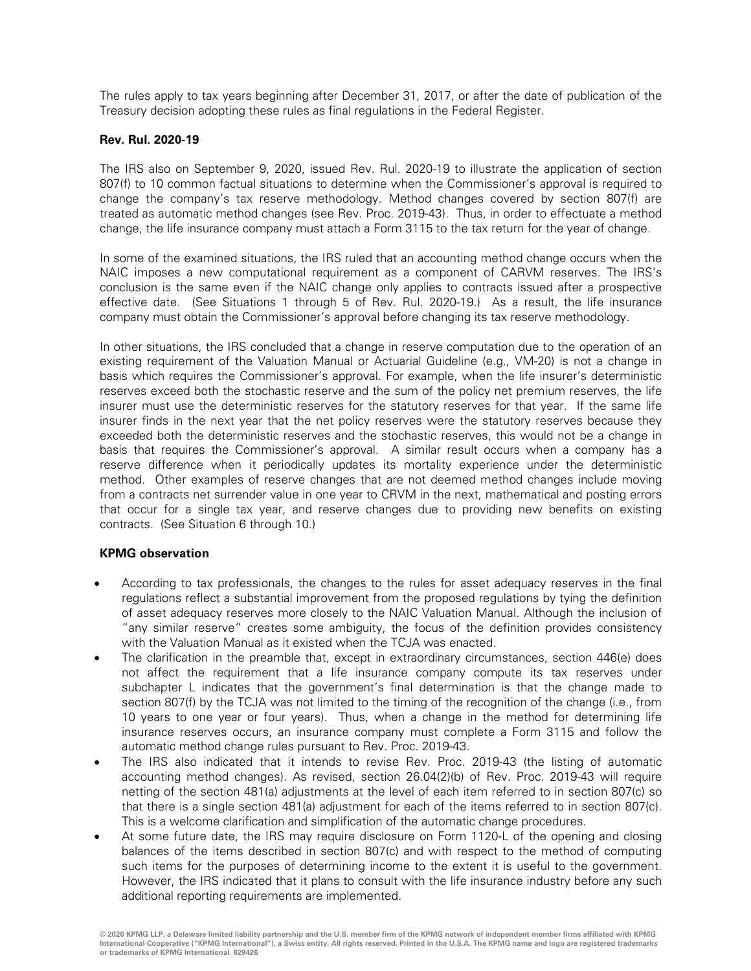The rules apply to tax years beginning after December 31, 2017, or after the date of publication of the Treasury decision adopting these rules as final regulations in the Federal Register.

#### **Rev. Rul. 2020-19**

The IRS also on September 9, 2020, issued Rev. Rul. 2020-19 to illustrate the application of section 807(f) to 10 common factual situations to determine when the Commissioner's approval is required to change the company's tax reserve methodology. Method changes covered by section 807(f) are treated as automatic method changes (see Rev. Proc. 2019-43). Thus, in order to effectuate a method change, the life insurance company must attach a Form 3115 to the tax return for the year of change.

In some of the examined situations, the IRS ruled that an accounting method change occurs when the NAIC imposes a new computational requirement as a component of CARVM reserves. The IRS's conclusion is the same even if the NAIC change only applies to contracts issued after a prospective effective date. (See Situations 1 through 5 of Rev. Rul. 2020-19.) As a result, the life insurance company must obtain the Commissioner's approval before changing its tax reserve methodology.

In other situations, the IRS concluded that a change in reserve computation due to the operation of an existing requirement of the Valuation Manual or Actuarial Guideline (e.g., VM-20) is not a change in basis which requires the Commissioner's approval. For example, when the life insurer's deterministic reserves exceed both the stochastic reserve and the sum of the policy net premium reserves, the life insurer must use the deterministic reserves for the statutory reserves for that year. If the same life insurer finds in the next year that the net policy reserves were the statutory reserves because they exceeded both the deterministic reserves and the stochastic reserves, this would not be a change in basis that requires the Commissioner's approval. A similar result occurs when a company has a reserve difference when it periodically updates its mortality experience under the deterministic method. Other examples of reserve changes that are not deemed method changes include moving from a contracts net surrender value in one year to CRVM in the next, mathematical and posting errors that occur for a single tax year, and reserve changes due to providing new benefits on existing contracts. (See Situation 6 through 10.)

#### **KPMG observation**

- According to tax professionals, the changes to the rules for asset adequacy reserves in the final regulations reflect a substantial improvement from the proposed regulations by tying the definition of asset adequacy reserves more closely to the NAIC Valuation Manual. Although the inclusion of "any similar reserve" creates some ambiguity, the focus of the definition provides consistency with the Valuation Manual as it existed when the TCJA was enacted.
- The clarification in the preamble that, except in extraordinary circumstances, section 446(e) does not affect the requirement that a life insurance company compute its tax reserves under subchapter L indicates that the government's final determination is that the change made to section 807(f) by the TCJA was not limited to the timing of the recognition of the change (i.e., from 10 years to one year or four years). Thus, when a change in the method for determining life insurance reserves occurs, an insurance company must complete a Form 3115 and follow the automatic method change rules pursuant to Rev. Proc. 2019-43.
- The IRS also indicated that it intends to revise Rev. Proc. 2019-43 (the listing of automatic accounting method changes). As revised, section 26.04(2)(b) of Rev. Proc. 2019-43 will require netting of the section 481(a) adjustments at the level of each item referred to in section 807(c) so that there is a single section 481(a) adjustment for each of the items referred to in section 807(c). This is a welcome clarification and simplification of the automatic change procedures.
- At some future date, the IRS may require disclosure on Form 1120-L of the opening and closing balances of the items described in section 807(c) and with respect to the method of computing such items for the purposes of determining income to the extent it is useful to the government. However, the IRS indicated that it plans to consult with the life insurance industry before any such additional reporting requirements are implemented.